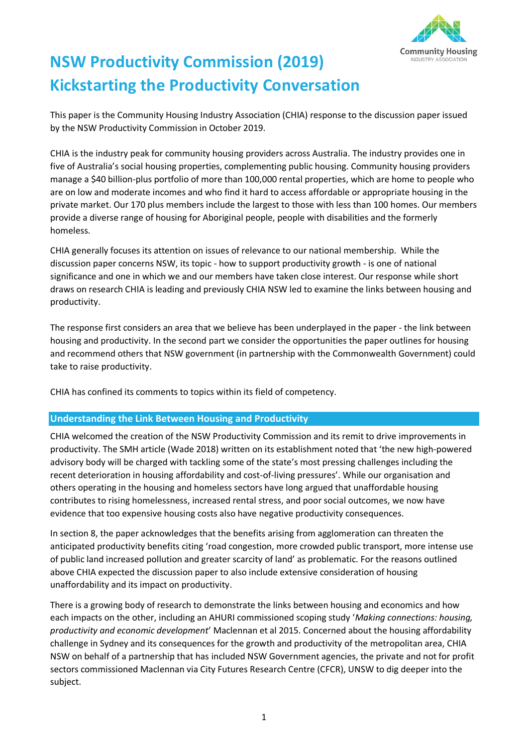

# **NSW Productivity Commission (2019) Kickstarting the Productivity Conversation**

This paper is the Community Housing Industry Association (CHIA) response to the discussion paper issued by the NSW Productivity Commission in October 2019.

CHIA is the industry peak for community housing providers across Australia. The industry provides one in five of Australia's social housing properties, complementing public housing. Community housing providers manage a \$40 billion-plus portfolio of more than 100,000 rental properties, which are home to people who are on low and moderate incomes and who find it hard to access affordable or appropriate housing in the private market. Our 170 plus members include the largest to those with less than 100 homes. Our members provide a diverse range of housing for Aboriginal people, people with disabilities and the formerly homeless.

CHIA generally focuses its attention on issues of relevance to our national membership. While the discussion paper concerns NSW, its topic - how to support productivity growth - is one of national significance and one in which we and our members have taken close interest. Our response while short draws on research CHIA is leading and previously CHIA NSW led to examine the links between housing and productivity.

The response first considers an area that we believe has been underplayed in the paper - the link between housing and productivity. In the second part we consider the opportunities the paper outlines for housing and recommend others that NSW government (in partnership with the Commonwealth Government) could take to raise productivity.

CHIA has confined its comments to topics within its field of competency.

### **Understanding the Link Between Housing and Productivity**

CHIA welcomed the creation of the NSW Productivity Commission and its remit to drive improvements in productivity. The SMH article (Wade 2018) written on its establishment noted that 'the new high-powered advisory body will be charged with tackling some of the state's most pressing challenges including the recent deterioration in housing affordability and cost-of-living pressures'. While our organisation and others operating in the housing and homeless sectors have long argued that unaffordable housing contributes to rising homelessness, increased rental stress, and poor social outcomes, we now have evidence that too expensive housing costs also have negative productivity consequences.

In section 8, the paper acknowledges that the benefits arising from agglomeration can threaten the anticipated productivity benefits citing 'road congestion, more crowded public transport, more intense use of public land increased pollution and greater scarcity of land' as problematic. For the reasons outlined above CHIA expected the discussion paper to also include extensive consideration of housing unaffordability and its impact on productivity.

There is a growing body of research to demonstrate the links between housing and economics and how each impacts on the other, including an AHURI commissioned scoping study '*Making connections: housing, productivity and economic development*' Maclennan et al 2015. Concerned about the housing affordability challenge in Sydney and its consequences for the growth and productivity of the metropolitan area, CHIA NSW on behalf of a partnership that has included NSW Government agencies, the private and not for profit sectors commissioned Maclennan via City Futures Research Centre (CFCR), UNSW to dig deeper into the subject.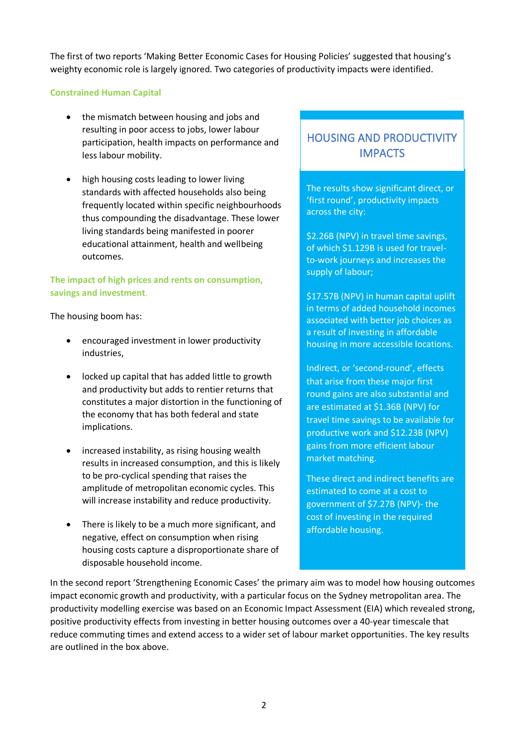The first of two reports 'Making Better Economic Cases for Housing Policies' suggested that housing's weighty economic role is largely ignored. Two categories of productivity impacts were identified.

#### **Constrained Human Capital**

- the mismatch between housing and jobs and resulting in poor access to jobs, lower labour participation, health impacts on performance and less labour mobility.
- high housing costs leading to lower living standards with affected households also being frequently located within specific neighbourhoods thus compounding the disadvantage. These lower living standards being manifested in poorer educational attainment, health and wellbeing outcomes.

## **The impact of high prices and rents on consumption, savings and investment**.

The housing boom has:

- encouraged investment in lower productivity industries,
- locked up capital that has added little to growth and productivity but adds to rentier returns that constitutes a major distortion in the functioning of the economy that has both federal and state implications.
- increased instability, as rising housing wealth results in increased consumption, and this is likely to be pro-cyclical spending that raises the amplitude of metropolitan economic cycles. This will increase instability and reduce productivity.
- There is likely to be a much more significant, and negative, effect on consumption when rising housing costs capture a disproportionate share of disposable household income.

# HOUSING AND PRODUCTIVITY **IMPACTS**

The results show significant direct, or 'first round', productivity impacts across the city:

\$2.26B (NPV) in travel time savings, of which \$1.129B is used for travelto-work journeys and increases the supply of labour;

\$17.57B (NPV) in human capital uplift in terms of added household incomes associated with better job choices as a result of investing in affordable housing in more accessible locations.

Indirect, or 'second-round', effects that arise from these major first round gains are also substantial and are estimated at \$1.36B (NPV) for travel time savings to be available for productive work and \$12.23B (NPV) gains from more efficient labour market matching.

These direct and indirect benefits are estimated to come at a cost to government of \$7.27B (NPV)- the cost of investing in the required affordable housing.

In the second report 'Strengthening Economic Cases' the primary aim was to model how housing outcomes impact economic growth and productivity, with a particular focus on the Sydney metropolitan area. The productivity modelling exercise was based on an Economic Impact Assessment (EIA) which revealed strong, positive productivity effects from investing in better housing outcomes over a 40-year timescale that reduce commuting times and extend access to a wider set of labour market opportunities. The key results are outlined in the box above.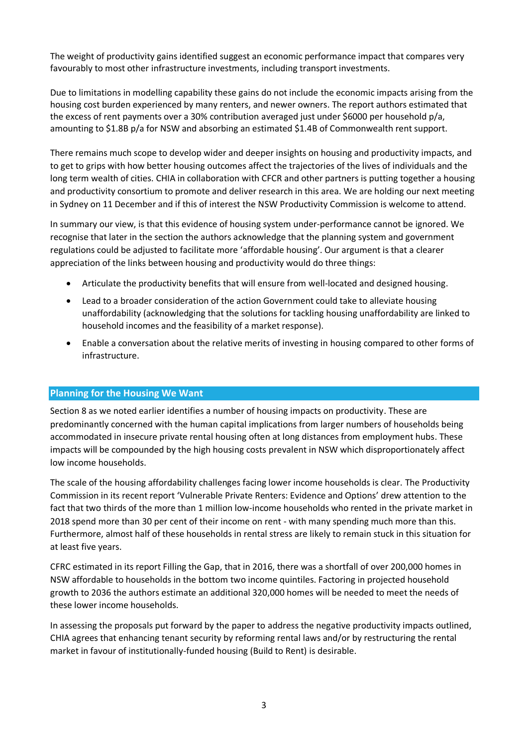The weight of productivity gains identified suggest an economic performance impact that compares very favourably to most other infrastructure investments, including transport investments.

Due to limitations in modelling capability these gains do not include the economic impacts arising from the housing cost burden experienced by many renters, and newer owners. The report authors estimated that the excess of rent payments over a 30% contribution averaged just under \$6000 per household p/a, amounting to \$1.8B p/a for NSW and absorbing an estimated \$1.4B of Commonwealth rent support.

There remains much scope to develop wider and deeper insights on housing and productivity impacts, and to get to grips with how better housing outcomes affect the trajectories of the lives of individuals and the long term wealth of cities. CHIA in collaboration with CFCR and other partners is putting together a housing and productivity consortium to promote and deliver research in this area. We are holding our next meeting in Sydney on 11 December and if this of interest the NSW Productivity Commission is welcome to attend.

In summary our view, is that this evidence of housing system under-performance cannot be ignored. We recognise that later in the section the authors acknowledge that the planning system and government regulations could be adjusted to facilitate more 'affordable housing'. Our argument is that a clearer appreciation of the links between housing and productivity would do three things:

- Articulate the productivity benefits that will ensure from well-located and designed housing.
- Lead to a broader consideration of the action Government could take to alleviate housing unaffordability (acknowledging that the solutions for tackling housing unaffordability are linked to household incomes and the feasibility of a market response).
- Enable a conversation about the relative merits of investing in housing compared to other forms of infrastructure.

### **Planning for the Housing We Want**

Section 8 as we noted earlier identifies a number of housing impacts on productivity. These are predominantly concerned with the human capital implications from larger numbers of households being accommodated in insecure private rental housing often at long distances from employment hubs. These impacts will be compounded by the high housing costs prevalent in NSW which disproportionately affect low income households.

The scale of the housing affordability challenges facing lower income households is clear. The Productivity Commission in its recent report 'Vulnerable Private Renters: Evidence and Options' drew attention to the fact that two thirds of the more than 1 million low-income households who rented in the private market in 2018 spend more than 30 per cent of their income on rent - with many spending much more than this. Furthermore, almost half of these households in rental stress are likely to remain stuck in this situation for at least five years.

CFRC estimated in its report Filling the Gap, that in 2016, there was a shortfall of over 200,000 homes in NSW affordable to households in the bottom two income quintiles. Factoring in projected household growth to 2036 the authors estimate an additional 320,000 homes will be needed to meet the needs of these lower income households.

In assessing the proposals put forward by the paper to address the negative productivity impacts outlined, CHIA agrees that enhancing tenant security by reforming rental laws and/or by restructuring the rental market in favour of institutionally-funded housing (Build to Rent) is desirable.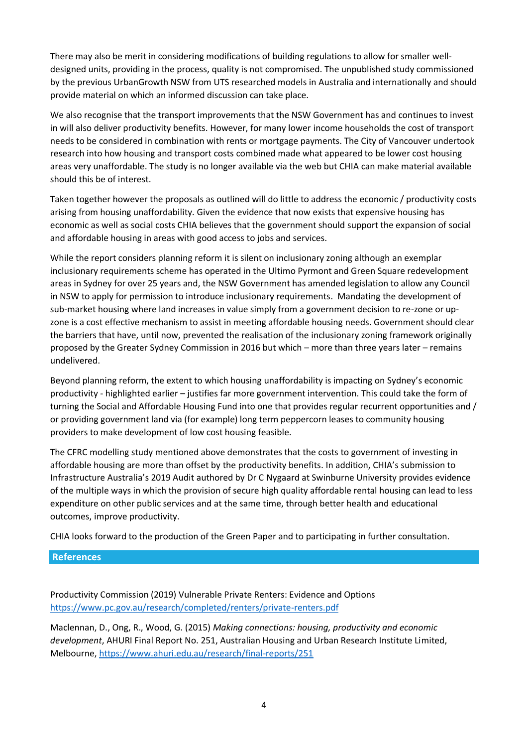There may also be merit in considering modifications of building regulations to allow for smaller welldesigned units, providing in the process, quality is not compromised. The unpublished study commissioned by the previous UrbanGrowth NSW from UTS researched models in Australia and internationally and should provide material on which an informed discussion can take place.

We also recognise that the transport improvements that the NSW Government has and continues to invest in will also deliver productivity benefits. However, for many lower income households the cost of transport needs to be considered in combination with rents or mortgage payments. The City of Vancouver undertook research into how housing and transport costs combined made what appeared to be lower cost housing areas very unaffordable. The study is no longer available via the web but CHIA can make material available should this be of interest.

Taken together however the proposals as outlined will do little to address the economic / productivity costs arising from housing unaffordability. Given the evidence that now exists that expensive housing has economic as well as social costs CHIA believes that the government should support the expansion of social and affordable housing in areas with good access to jobs and services.

While the report considers planning reform it is silent on inclusionary zoning although an exemplar inclusionary requirements scheme has operated in the Ultimo Pyrmont and Green Square redevelopment areas in Sydney for over 25 years and, the NSW Government has amended legislation to allow any Council in NSW to apply for permission to introduce inclusionary requirements. Mandating the development of sub-market housing where land increases in value simply from a government decision to re-zone or upzone is a cost effective mechanism to assist in meeting affordable housing needs. Government should clear the barriers that have, until now, prevented the realisation of the inclusionary zoning framework originally proposed by the Greater Sydney Commission in 2016 but which – more than three years later – remains undelivered.

Beyond planning reform, the extent to which housing unaffordability is impacting on Sydney's economic productivity - highlighted earlier – justifies far more government intervention. This could take the form of turning the Social and Affordable Housing Fund into one that provides regular recurrent opportunities and / or providing government land via (for example) long term peppercorn leases to community housing providers to make development of low cost housing feasible.

The CFRC modelling study mentioned above demonstrates that the costs to government of investing in affordable housing are more than offset by the productivity benefits. In addition, CHIA's submission to Infrastructure Australia's 2019 Audit authored by Dr C Nygaard at Swinburne University provides evidence of the multiple ways in which the provision of secure high quality affordable rental housing can lead to less expenditure on other public services and at the same time, through better health and educational outcomes, improve productivity.

CHIA looks forward to the production of the Green Paper and to participating in further consultation.

#### **References**

Productivity Commission (2019) Vulnerable Private Renters: Evidence and Options <https://www.pc.gov.au/research/completed/renters/private-renters.pdf>

Maclennan, D., Ong, R., Wood, G. (2015) *Making connections: housing, productivity and economic development*, AHURI Final Report No. 251, Australian Housing and Urban Research Institute Limited, Melbourne,<https://www.ahuri.edu.au/research/final-reports/251>